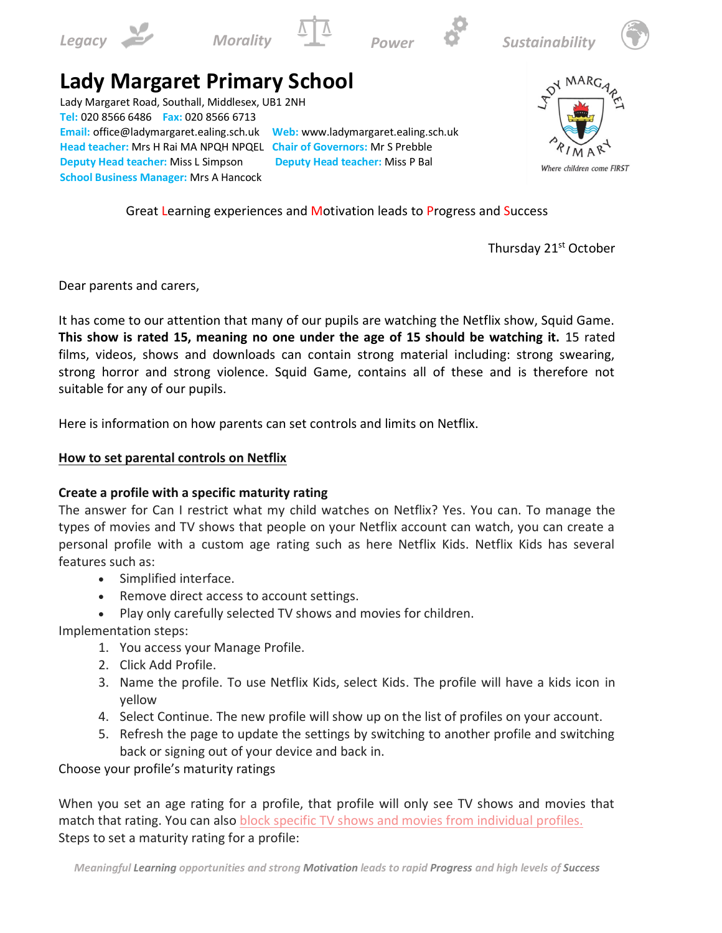











## **Lady Margaret Primary School**

Lady Margaret Road, Southall, Middlesex, UB1 2NH **Tel:** 020 8566 6486 **Fax:** 020 8566 6713 **Email:** office@ladymargaret.ealing.sch.uk **Web:** www.ladymargaret.ealing.sch.uk **Head teacher:** Mrs H Rai MA NPQH NPQEL **Chair of Governors:** Mr S Prebble **Deputy Head teacher:** Miss L Simpson **Deputy Head teacher:** Miss P Bal **School Business Manager:** Mrs A Hancock



Great Learning experiences and Motivation leads to Progress and Success

Thursday 21st October

Dear parents and carers,

It has come to our attention that many of our pupils are watching the Netflix show, Squid Game. **This show is rated 15, meaning no one under the age of 15 should be watching it.** 15 rated films, videos, shows and downloads can contain strong material including: strong swearing, strong horror and strong violence. Squid Game, contains all of these and is therefore not suitable for any of our pupils.

Here is information on how parents can set controls and limits on Netflix.

## **How to set parental controls on Netflix**

## **Create a profile with a specific maturity rating**

The answer for Can I restrict what my child watches on Netflix? Yes. You can. To manage the types of movies and TV shows that people on your Netflix account can watch, you can create a personal profile with a custom age rating such as here Netflix Kids. Netflix Kids has several features such as:

- Simplified interface.
- Remove direct access to account settings.
- Play only carefully selected TV shows and movies for children.

Implementation steps:

- 1. You access your Manage Profile.
- 2. Click Add Profile.
- 3. Name the profile. To use Netflix Kids, select Kids. The profile will have a kids icon in yellow
- 4. Select Continue. The new profile will show up on the list of profiles on your account.
- 5. Refresh the page to update the settings by switching to another profile and switching back or signing out of your device and back in.

Choose your profile's maturity ratings

When you set an age rating for a profile, that profile will only see TV shows and movies that match that rating. You can also [block specific TV shows and movies from individual profiles.](https://help.netflix.com/en/node/264) Steps to set a maturity rating for a profile: